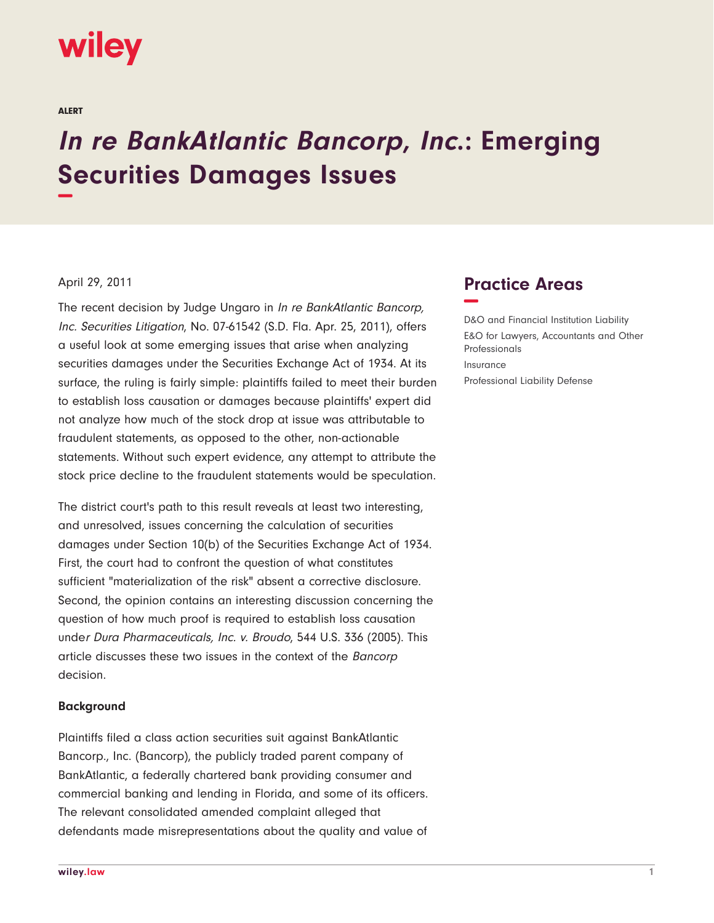# wiley

ALERT

# **In re BankAtlantic Bancorp, Inc.: Emerging Securities Damages Issues −**

# April 29, 2011

The recent decision by Judge Ungaro in In re BankAtlantic Bancorp, Inc. Securities Litigation, No. 07-61542 (S.D. Fla. Apr. 25, 2011), offers a useful look at some emerging issues that arise when analyzing securities damages under the Securities Exchange Act of 1934. At its surface, the ruling is fairly simple: plaintiffs failed to meet their burden to establish loss causation or damages because plaintiffs' expert did not analyze how much of the stock drop at issue was attributable to fraudulent statements, as opposed to the other, non-actionable statements. Without such expert evidence, any attempt to attribute the stock price decline to the fraudulent statements would be speculation.

The district court's path to this result reveals at least two interesting, and unresolved, issues concerning the calculation of securities damages under Section 10(b) of the Securities Exchange Act of 1934. First, the court had to confront the question of what constitutes sufficient "materialization of the risk" absent a corrective disclosure. Second, the opinion contains an interesting discussion concerning the question of how much proof is required to establish loss causation under Dura Pharmaceuticals, Inc. v. Broudo, 544 U.S. 336 (2005). This article discusses these two issues in the context of the Bancorp decision.

#### **Background**

Plaintiffs filed a class action securities suit against BankAtlantic Bancorp., Inc. (Bancorp), the publicly traded parent company of BankAtlantic, a federally chartered bank providing consumer and commercial banking and lending in Florida, and some of its officers. The relevant consolidated amended complaint alleged that defendants made misrepresentations about the quality and value of

# **Practice Areas −**

D&O and Financial Institution Liability E&O for Lawyers, Accountants and Other Professionals Insurance Professional Liability Defense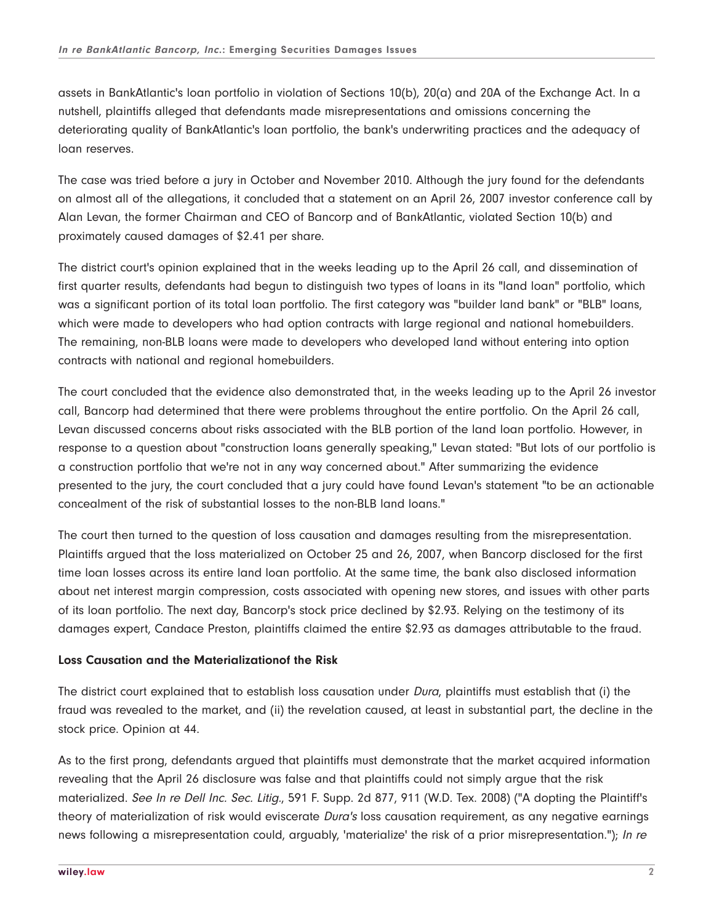assets in BankAtlantic's loan portfolio in violation of Sections 10(b), 20(a) and 20A of the Exchange Act. In a nutshell, plaintiffs alleged that defendants made misrepresentations and omissions concerning the deteriorating quality of BankAtlantic's loan portfolio, the bank's underwriting practices and the adequacy of loan reserves.

The case was tried before a jury in October and November 2010. Although the jury found for the defendants on almost all of the allegations, it concluded that a statement on an April 26, 2007 investor conference call by Alan Levan, the former Chairman and CEO of Bancorp and of BankAtlantic, violated Section 10(b) and proximately caused damages of \$2.41 per share.

The district court's opinion explained that in the weeks leading up to the April 26 call, and dissemination of first quarter results, defendants had begun to distinguish two types of loans in its "land loan" portfolio, which was a significant portion of its total loan portfolio. The first category was "builder land bank" or "BLB" loans, which were made to developers who had option contracts with large regional and national homebuilders. The remaining, non-BLB loans were made to developers who developed land without entering into option contracts with national and regional homebuilders.

The court concluded that the evidence also demonstrated that, in the weeks leading up to the April 26 investor call, Bancorp had determined that there were problems throughout the entire portfolio. On the April 26 call, Levan discussed concerns about risks associated with the BLB portion of the land loan portfolio. However, in response to a question about "construction loans generally speaking," Levan stated: "But lots of our portfolio is a construction portfolio that we're not in any way concerned about." After summarizing the evidence presented to the jury, the court concluded that a jury could have found Levan's statement "to be an actionable concealment of the risk of substantial losses to the non-BLB land loans."

The court then turned to the question of loss causation and damages resulting from the misrepresentation. Plaintiffs argued that the loss materialized on October 25 and 26, 2007, when Bancorp disclosed for the first time loan losses across its entire land loan portfolio. At the same time, the bank also disclosed information about net interest margin compression, costs associated with opening new stores, and issues with other parts of its loan portfolio. The next day, Bancorp's stock price declined by \$2.93. Relying on the testimony of its damages expert, Candace Preston, plaintiffs claimed the entire \$2.93 as damages attributable to the fraud.

# **Loss Causation and the Materializationof the Risk**

The district court explained that to establish loss causation under Dura, plaintiffs must establish that (i) the fraud was revealed to the market, and (ii) the revelation caused, at least in substantial part, the decline in the stock price. Opinion at 44.

As to the first prong, defendants argued that plaintiffs must demonstrate that the market acquired information revealing that the April 26 disclosure was false and that plaintiffs could not simply argue that the risk materialized. See In re Dell Inc. Sec. Litig., 591 F. Supp. 2d 877, 911 (W.D. Tex. 2008) ("A dopting the Plaintiff's theory of materialization of risk would eviscerate Dura's loss causation requirement, as any negative earnings news following a misrepresentation could, arguably, 'materialize' the risk of a prior misrepresentation."); In re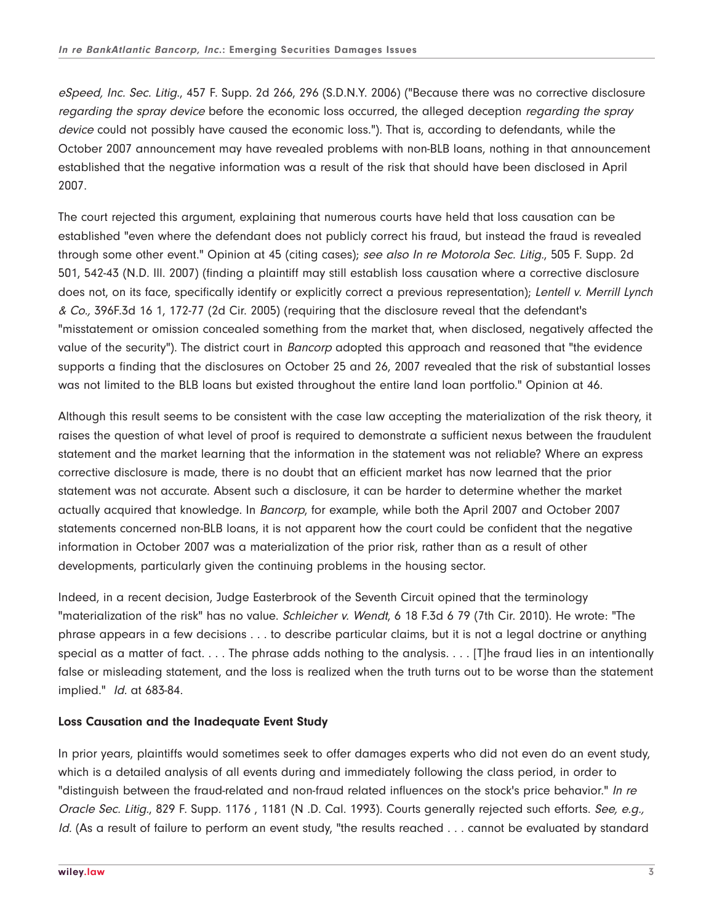eSpeed, Inc. Sec. Litig., 457 F. Supp. 2d 266, 296 (S.D.N.Y. 2006) ("Because there was no corrective disclosure regarding the spray device before the economic loss occurred, the alleged deception regarding the spray device could not possibly have caused the economic loss."). That is, according to defendants, while the October 2007 announcement may have revealed problems with non-BLB loans, nothing in that announcement established that the negative information was a result of the risk that should have been disclosed in April 2007.

The court rejected this argument, explaining that numerous courts have held that loss causation can be established "even where the defendant does not publicly correct his fraud, but instead the fraud is revealed through some other event." Opinion at 45 (citing cases); see also In re Motorola Sec. Litig., 505 F. Supp. 2d 501, 542-43 (N.D. Ill. 2007) (finding a plaintiff may still establish loss causation where a corrective disclosure does not, on its face, specifically identify or explicitly correct a previous representation); Lentell v. Merrill Lynch & Co., 396F.3d 16 1, 172-77 (2d Cir. 2005) (requiring that the disclosure reveal that the defendant's "misstatement or omission concealed something from the market that, when disclosed, negatively affected the value of the security"). The district court in *Bancorp* adopted this approach and reasoned that "the evidence supports a finding that the disclosures on October 25 and 26, 2007 revealed that the risk of substantial losses was not limited to the BLB loans but existed throughout the entire land loan portfolio." Opinion at 46.

Although this result seems to be consistent with the case law accepting the materialization of the risk theory, it raises the question of what level of proof is required to demonstrate a sufficient nexus between the fraudulent statement and the market learning that the information in the statement was not reliable? Where an express corrective disclosure is made, there is no doubt that an efficient market has now learned that the prior statement was not accurate. Absent such a disclosure, it can be harder to determine whether the market actually acquired that knowledge. In Bancorp, for example, while both the April 2007 and October 2007 statements concerned non-BLB loans, it is not apparent how the court could be confident that the negative information in October 2007 was a materialization of the prior risk, rather than as a result of other developments, particularly given the continuing problems in the housing sector.

Indeed, in a recent decision, Judge Easterbrook of the Seventh Circuit opined that the terminology "materialization of the risk" has no value. Schleicher v. Wendt, 6 18 F.3d 6 79 (7th Cir. 2010). He wrote: "The phrase appears in a few decisions . . . to describe particular claims, but it is not a legal doctrine or anything special as a matter of fact. . . . The phrase adds nothing to the analysis. . . . [T]he fraud lies in an intentionally false or misleading statement, and the loss is realized when the truth turns out to be worse than the statement implied." Id. at 683-84.

# **Loss Causation and the Inadequate Event Study**

In prior years, plaintiffs would sometimes seek to offer damages experts who did not even do an event study, which is a detailed analysis of all events during and immediately following the class period, in order to "distinguish between the fraud-related and non-fraud related influences on the stock's price behavior." In re Oracle Sec. Litig., 829 F. Supp. 1176, 1181 (N .D. Cal. 1993). Courts generally rejected such efforts. See, e.g., Id. (As a result of failure to perform an event study, "the results reached . . . cannot be evaluated by standard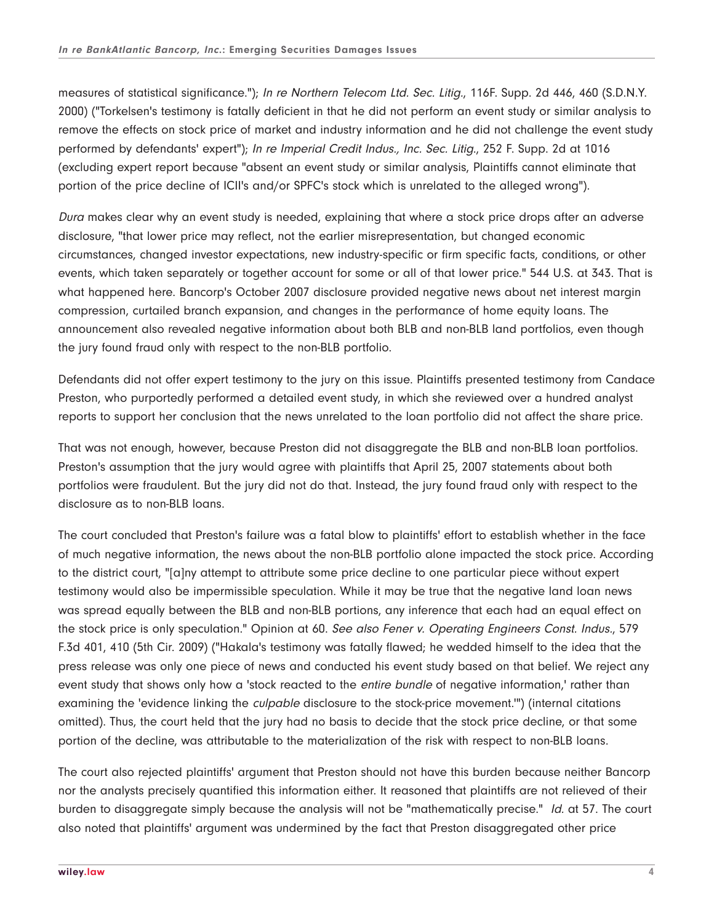measures of statistical significance."); In re Northern Telecom Ltd. Sec. Litig., 116F. Supp. 2d 446, 460 (S.D.N.Y. 2000) ("Torkelsen's testimony is fatally deficient in that he did not perform an event study or similar analysis to remove the effects on stock price of market and industry information and he did not challenge the event study performed by defendants' expert"); In re Imperial Credit Indus., Inc. Sec. Litig., 252 F. Supp. 2d at 1016 (excluding expert report because "absent an event study or similar analysis, Plaintiffs cannot eliminate that portion of the price decline of ICII's and/or SPFC's stock which is unrelated to the alleged wrong").

Dura makes clear why an event study is needed, explaining that where a stock price drops after an adverse disclosure, "that lower price may reflect, not the earlier misrepresentation, but changed economic circumstances, changed investor expectations, new industry-specific or firm specific facts, conditions, or other events, which taken separately or together account for some or all of that lower price." 544 U.S. at 343. That is what happened here. Bancorp's October 2007 disclosure provided negative news about net interest margin compression, curtailed branch expansion, and changes in the performance of home equity loans. The announcement also revealed negative information about both BLB and non-BLB land portfolios, even though the jury found fraud only with respect to the non-BLB portfolio.

Defendants did not offer expert testimony to the jury on this issue. Plaintiffs presented testimony from Candace Preston, who purportedly performed a detailed event study, in which she reviewed over a hundred analyst reports to support her conclusion that the news unrelated to the loan portfolio did not affect the share price.

That was not enough, however, because Preston did not disaggregate the BLB and non-BLB loan portfolios. Preston's assumption that the jury would agree with plaintiffs that April 25, 2007 statements about both portfolios were fraudulent. But the jury did not do that. Instead, the jury found fraud only with respect to the disclosure as to non-BLB loans.

The court concluded that Preston's failure was a fatal blow to plaintiffs' effort to establish whether in the face of much negative information, the news about the non-BLB portfolio alone impacted the stock price. According to the district court, "[a]ny attempt to attribute some price decline to one particular piece without expert testimony would also be impermissible speculation. While it may be true that the negative land loan news was spread equally between the BLB and non-BLB portions, any inference that each had an equal effect on the stock price is only speculation." Opinion at 60. See also Fener v. Operating Engineers Const. Indus., 579 F.3d 401, 410 (5th Cir. 2009) ("Hakala's testimony was fatally flawed; he wedded himself to the idea that the press release was only one piece of news and conducted his event study based on that belief. We reject any event study that shows only how a 'stock reacted to the entire bundle of negative information,' rather than examining the 'evidence linking the *culpable* disclosure to the stock-price movement."") (internal citations omitted). Thus, the court held that the jury had no basis to decide that the stock price decline, or that some portion of the decline, was attributable to the materialization of the risk with respect to non-BLB loans.

The court also rejected plaintiffs' argument that Preston should not have this burden because neither Bancorp nor the analysts precisely quantified this information either. It reasoned that plaintiffs are not relieved of their burden to disaggregate simply because the analysis will not be "mathematically precise." Id. at 57. The court also noted that plaintiffs' argument was undermined by the fact that Preston disaggregated other price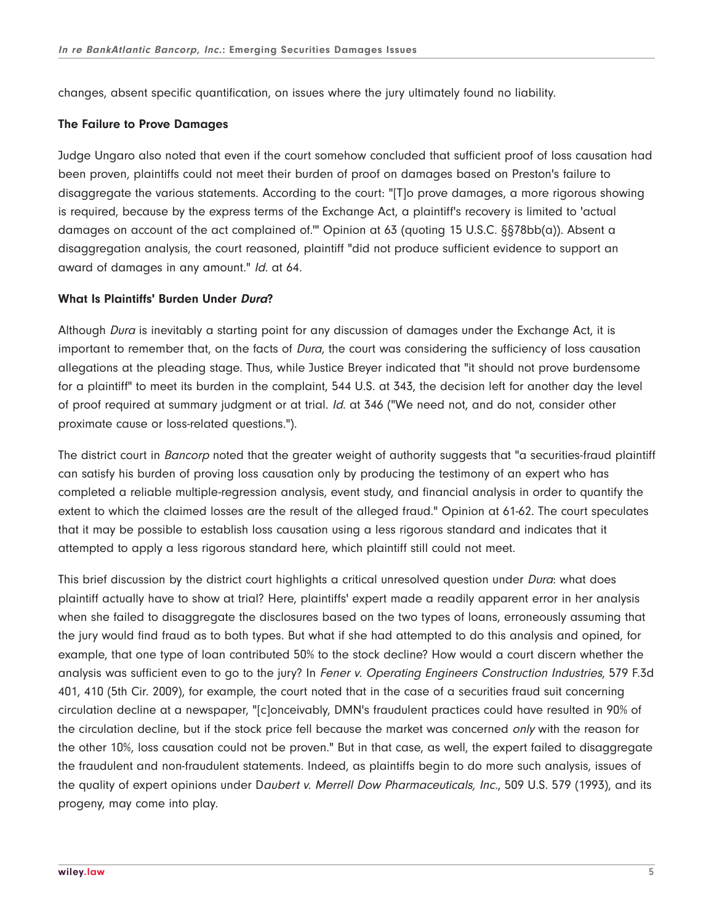changes, absent specific quantification, on issues where the jury ultimately found no liability.

### **The Failure to Prove Damages**

Judge Ungaro also noted that even if the court somehow concluded that sufficient proof of loss causation had been proven, plaintiffs could not meet their burden of proof on damages based on Preston's failure to disaggregate the various statements. According to the court: "[T]o prove damages, a more rigorous showing is required, because by the express terms of the Exchange Act, a plaintiff's recovery is limited to 'actual damages on account of the act complained of."" Opinion at 63 (quoting 15 U.S.C. §§78bb(a)). Absent a disaggregation analysis, the court reasoned, plaintiff "did not produce sufficient evidence to support an award of damages in any amount." Id. at 64.

# **What Is Plaintiffs' Burden Under Dura?**

Although Dura is inevitably a starting point for any discussion of damages under the Exchange Act, it is important to remember that, on the facts of *Dura*, the court was considering the sufficiency of loss causation allegations at the pleading stage. Thus, while Justice Breyer indicated that "it should not prove burdensome for a plaintiff" to meet its burden in the complaint, 544 U.S. at 343, the decision left for another day the level of proof required at summary judgment or at trial. Id. at 346 ("We need not, and do not, consider other proximate cause or loss-related questions.").

The district court in Bancorp noted that the greater weight of authority suggests that "a securities-fraud plaintiff can satisfy his burden of proving loss causation only by producing the testimony of an expert who has completed a reliable multiple-regression analysis, event study, and financial analysis in order to quantify the extent to which the claimed losses are the result of the alleged fraud." Opinion at 61-62. The court speculates that it may be possible to establish loss causation using a less rigorous standard and indicates that it attempted to apply a less rigorous standard here, which plaintiff still could not meet.

This brief discussion by the district court highlights a critical unresolved question under Dura: what does plaintiff actually have to show at trial? Here, plaintiffs' expert made a readily apparent error in her analysis when she failed to disaggregate the disclosures based on the two types of loans, erroneously assuming that the jury would find fraud as to both types. But what if she had attempted to do this analysis and opined, for example, that one type of loan contributed 50% to the stock decline? How would a court discern whether the analysis was sufficient even to go to the jury? In Fener v. Operating Engineers Construction Industries, 579 F.3d 401, 410 (5th Cir. 2009), for example, the court noted that in the case of a securities fraud suit concerning circulation decline at a newspaper, "[c]onceivably, DMN's fraudulent practices could have resulted in 90% of the circulation decline, but if the stock price fell because the market was concerned only with the reason for the other 10%, loss causation could not be proven." But in that case, as well, the expert failed to disaggregate the fraudulent and non-fraudulent statements. Indeed, as plaintiffs begin to do more such analysis, issues of the quality of expert opinions under Daubert v. Merrell Dow Pharmaceuticals, Inc., 509 U.S. 579 (1993), and its progeny, may come into play.